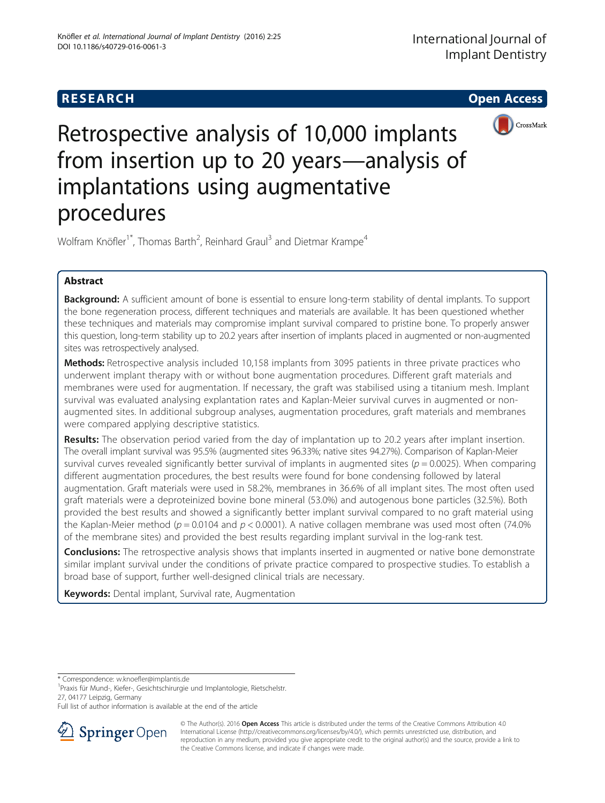

Retrospective analysis of 10,000 implants from insertion up to 20 years—analysis of implantations using augmentative procedures

Wolfram Knöfler<sup>1\*</sup>, Thomas Barth<sup>2</sup>, Reinhard Graul<sup>3</sup> and Dietmar Krampe<sup>4</sup>

# Abstract

Background: A sufficient amount of bone is essential to ensure long-term stability of dental implants. To support the bone regeneration process, different techniques and materials are available. It has been questioned whether these techniques and materials may compromise implant survival compared to pristine bone. To properly answer this question, long-term stability up to 20.2 years after insertion of implants placed in augmented or non-augmented sites was retrospectively analysed.

**Methods:** Retrospective analysis included 10,158 implants from 3095 patients in three private practices who underwent implant therapy with or without bone augmentation procedures. Different graft materials and membranes were used for augmentation. If necessary, the graft was stabilised using a titanium mesh. Implant survival was evaluated analysing explantation rates and Kaplan-Meier survival curves in augmented or nonaugmented sites. In additional subgroup analyses, augmentation procedures, graft materials and membranes were compared applying descriptive statistics.

Results: The observation period varied from the day of implantation up to 20.2 years after implant insertion. The overall implant survival was 95.5% (augmented sites 96.33%; native sites 94.27%). Comparison of Kaplan-Meier survival curves revealed significantly better survival of implants in augmented sites ( $p = 0.0025$ ). When comparing different augmentation procedures, the best results were found for bone condensing followed by lateral augmentation. Graft materials were used in 58.2%, membranes in 36.6% of all implant sites. The most often used graft materials were a deproteinized bovine bone mineral (53.0%) and autogenous bone particles (32.5%). Both provided the best results and showed a significantly better implant survival compared to no graft material using the Kaplan-Meier method ( $p = 0.0104$  and  $p < 0.0001$ ). A native collagen membrane was used most often (74.0%) of the membrane sites) and provided the best results regarding implant survival in the log-rank test.

**Conclusions:** The retrospective analysis shows that implants inserted in augmented or native bone demonstrate similar implant survival under the conditions of private practice compared to prospective studies. To establish a broad base of support, further well-designed clinical trials are necessary.

Keywords: Dental implant, Survival rate, Augmentation

\* Correspondence: [w.knoefler@implantis.de](mailto:w.knoefler@implantis.de) <sup>1</sup>

Praxis für Mund-, Kiefer-, Gesichtschirurgie und Implantologie, Rietschelstr. 27, 04177 Leipzig, Germany

Full list of author information is available at the end of the article



© The Author(s). 2016 Open Access This article is distributed under the terms of the Creative Commons Attribution 4.0 International License ([http://creativecommons.org/licenses/by/4.0/\)](http://creativecommons.org/licenses/by/4.0/), which permits unrestricted use, distribution, and reproduction in any medium, provided you give appropriate credit to the original author(s) and the source, provide a link to the Creative Commons license, and indicate if changes were made.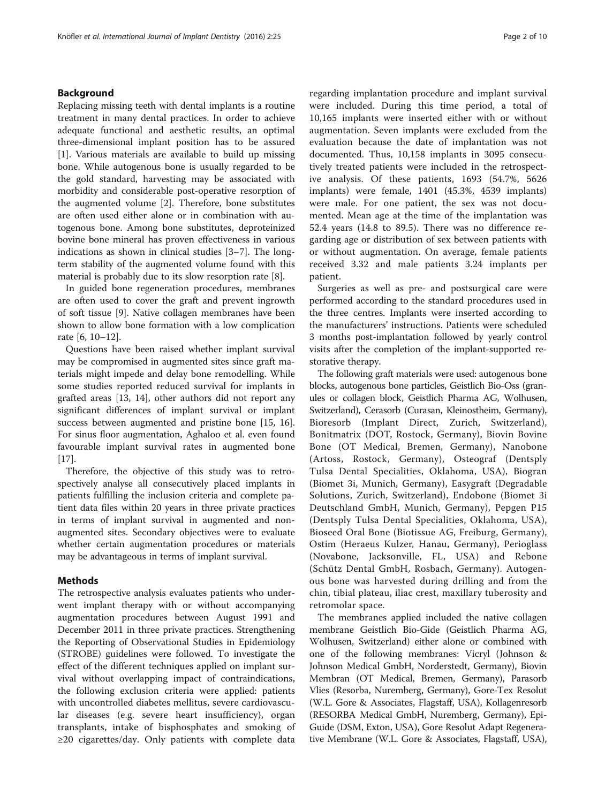## Background

Replacing missing teeth with dental implants is a routine treatment in many dental practices. In order to achieve adequate functional and aesthetic results, an optimal three-dimensional implant position has to be assured [[1\]](#page-8-0). Various materials are available to build up missing bone. While autogenous bone is usually regarded to be the gold standard, harvesting may be associated with morbidity and considerable post-operative resorption of the augmented volume [\[2](#page-8-0)]. Therefore, bone substitutes are often used either alone or in combination with autogenous bone. Among bone substitutes, deproteinized bovine bone mineral has proven effectiveness in various indications as shown in clinical studies [\[3](#page-8-0)–[7\]](#page-8-0). The longterm stability of the augmented volume found with this material is probably due to its slow resorption rate [\[8](#page-8-0)].

In guided bone regeneration procedures, membranes are often used to cover the graft and prevent ingrowth of soft tissue [[9\]](#page-8-0). Native collagen membranes have been shown to allow bone formation with a low complication rate [\[6](#page-8-0), [10](#page-8-0)–[12\]](#page-8-0).

Questions have been raised whether implant survival may be compromised in augmented sites since graft materials might impede and delay bone remodelling. While some studies reported reduced survival for implants in grafted areas [[13, 14\]](#page-8-0), other authors did not report any significant differences of implant survival or implant success between augmented and pristine bone [\[15](#page-8-0), [16](#page-8-0)]. For sinus floor augmentation, Aghaloo et al. even found favourable implant survival rates in augmented bone [[17\]](#page-8-0).

Therefore, the objective of this study was to retrospectively analyse all consecutively placed implants in patients fulfilling the inclusion criteria and complete patient data files within 20 years in three private practices in terms of implant survival in augmented and nonaugmented sites. Secondary objectives were to evaluate whether certain augmentation procedures or materials may be advantageous in terms of implant survival.

## Methods

The retrospective analysis evaluates patients who underwent implant therapy with or without accompanying augmentation procedures between August 1991 and December 2011 in three private practices. Strengthening the Reporting of Observational Studies in Epidemiology (STROBE) guidelines were followed. To investigate the effect of the different techniques applied on implant survival without overlapping impact of contraindications, the following exclusion criteria were applied: patients with uncontrolled diabetes mellitus, severe cardiovascular diseases (e.g. severe heart insufficiency), organ transplants, intake of bisphosphates and smoking of ≥20 cigarettes/day. Only patients with complete data

regarding implantation procedure and implant survival were included. During this time period, a total of 10,165 implants were inserted either with or without augmentation. Seven implants were excluded from the evaluation because the date of implantation was not documented. Thus, 10,158 implants in 3095 consecutively treated patients were included in the retrospective analysis. Of these patients, 1693 (54.7%, 5626 implants) were female, 1401 (45.3%, 4539 implants) were male. For one patient, the sex was not documented. Mean age at the time of the implantation was 52.4 years (14.8 to 89.5). There was no difference regarding age or distribution of sex between patients with or without augmentation. On average, female patients received 3.32 and male patients 3.24 implants per patient.

Surgeries as well as pre- and postsurgical care were performed according to the standard procedures used in the three centres. Implants were inserted according to the manufacturers' instructions. Patients were scheduled 3 months post-implantation followed by yearly control visits after the completion of the implant-supported restorative therapy.

The following graft materials were used: autogenous bone blocks, autogenous bone particles, Geistlich Bio-Oss (granules or collagen block, Geistlich Pharma AG, Wolhusen, Switzerland), Cerasorb (Curasan, Kleinostheim, Germany), Bioresorb (Implant Direct, Zurich, Switzerland), Bonitmatrix (DOT, Rostock, Germany), Biovin Bovine Bone (OT Medical, Bremen, Germany), Nanobone (Artoss, Rostock, Germany), Osteograf (Dentsply Tulsa Dental Specialities, Oklahoma, USA), Biogran (Biomet 3i, Munich, Germany), Easygraft (Degradable Solutions, Zurich, Switzerland), Endobone (Biomet 3i Deutschland GmbH, Munich, Germany), Pepgen P15 (Dentsply Tulsa Dental Specialities, Oklahoma, USA), Bioseed Oral Bone (Biotissue AG, Freiburg, Germany), Ostim (Heraeus Kulzer, Hanau, Germany), Perioglass (Novabone, Jacksonville, FL, USA) and Rebone (Schütz Dental GmbH, Rosbach, Germany). Autogenous bone was harvested during drilling and from the chin, tibial plateau, iliac crest, maxillary tuberosity and retromolar space.

The membranes applied included the native collagen membrane Geistlich Bio-Gide (Geistlich Pharma AG, Wolhusen, Switzerland) either alone or combined with one of the following membranes: Vicryl (Johnson & Johnson Medical GmbH, Norderstedt, Germany), Biovin Membran (OT Medical, Bremen, Germany), Parasorb Vlies (Resorba, Nuremberg, Germany), Gore-Tex Resolut (W.L. Gore & Associates, Flagstaff, USA), Kollagenresorb (RESORBA Medical GmbH, Nuremberg, Germany), Epi-Guide (DSM, Exton, USA), Gore Resolut Adapt Regenerative Membrane (W.L. Gore & Associates, Flagstaff, USA),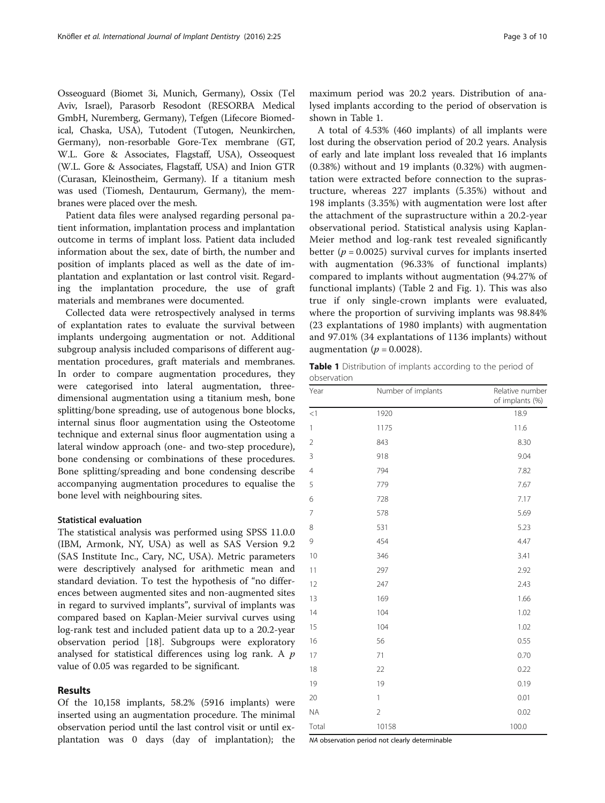Osseoguard (Biomet 3i, Munich, Germany), Ossix (Tel Aviv, Israel), Parasorb Resodont (RESORBA Medical GmbH, Nuremberg, Germany), Tefgen (Lifecore Biomedical, Chaska, USA), Tutodent (Tutogen, Neunkirchen, Germany), non-resorbable Gore-Tex membrane (GT, W.L. Gore & Associates, Flagstaff, USA), Osseoquest (W.L. Gore & Associates, Flagstaff, USA) and Inion GTR (Curasan, Kleinostheim, Germany). If a titanium mesh was used (Tiomesh, Dentaurum, Germany), the membranes were placed over the mesh.

Patient data files were analysed regarding personal patient information, implantation process and implantation outcome in terms of implant loss. Patient data included information about the sex, date of birth, the number and position of implants placed as well as the date of implantation and explantation or last control visit. Regarding the implantation procedure, the use of graft materials and membranes were documented.

Collected data were retrospectively analysed in terms of explantation rates to evaluate the survival between implants undergoing augmentation or not. Additional subgroup analysis included comparisons of different augmentation procedures, graft materials and membranes. In order to compare augmentation procedures, they were categorised into lateral augmentation, threedimensional augmentation using a titanium mesh, bone splitting/bone spreading, use of autogenous bone blocks, internal sinus floor augmentation using the Osteotome technique and external sinus floor augmentation using a lateral window approach (one- and two-step procedure), bone condensing or combinations of these procedures. Bone splitting/spreading and bone condensing describe accompanying augmentation procedures to equalise the bone level with neighbouring sites.

## Statistical evaluation

The statistical analysis was performed using SPSS 11.0.0 (IBM, Armonk, NY, USA) as well as SAS Version 9.2 (SAS Institute Inc., Cary, NC, USA). Metric parameters were descriptively analysed for arithmetic mean and standard deviation. To test the hypothesis of "no differences between augmented sites and non-augmented sites in regard to survived implants", survival of implants was compared based on Kaplan-Meier survival curves using log-rank test and included patient data up to a 20.2-year observation period [[18](#page-8-0)]. Subgroups were exploratory analysed for statistical differences using log rank. A  $p$ value of 0.05 was regarded to be significant.

## Results

Of the 10,158 implants, 58.2% (5916 implants) were inserted using an augmentation procedure. The minimal observation period until the last control visit or until explantation was 0 days (day of implantation); the

maximum period was 20.2 years. Distribution of analysed implants according to the period of observation is shown in Table 1.

A total of 4.53% (460 implants) of all implants were lost during the observation period of 20.2 years. Analysis of early and late implant loss revealed that 16 implants (0.38%) without and 19 implants (0.32%) with augmentation were extracted before connection to the suprastructure, whereas 227 implants (5.35%) without and 198 implants (3.35%) with augmentation were lost after the attachment of the suprastructure within a 20.2-year observational period. Statistical analysis using Kaplan-Meier method and log-rank test revealed significantly better ( $p = 0.0025$ ) survival curves for implants inserted with augmentation (96.33% of functional implants) compared to implants without augmentation (94.27% of functional implants) (Table [2](#page-3-0) and Fig. [1\)](#page-3-0). This was also true if only single-crown implants were evaluated, where the proportion of surviving implants was 98.84% (23 explantations of 1980 implants) with augmentation and 97.01% (34 explantations of 1136 implants) without augmentation ( $p = 0.0028$ ).

Table 1 Distribution of implants according to the period of observation

| Year           | Number of implants | Relative number<br>of implants (%) |
|----------------|--------------------|------------------------------------|
| $\leq$ 1       | 1920               | 18.9                               |
| $\mathbf{1}$   | 1175               | 11.6                               |
| $\overline{2}$ | 843                | 8.30                               |
| 3              | 918                | 9.04                               |
| 4              | 794                | 7.82                               |
| 5              | 779                | 7.67                               |
| 6              | 728                | 7.17                               |
| $\overline{7}$ | 578                | 5.69                               |
| 8              | 531                | 5.23                               |
| 9              | 454                | 4.47                               |
| 10             | 346                | 3.41                               |
| 11             | 297                | 2.92                               |
| 12             | 247                | 2.43                               |
| 13             | 169                | 1.66                               |
| 14             | 104                | 1.02                               |
| 15             | 104                | 1.02                               |
| 16             | 56                 | 0.55                               |
| 17             | 71                 | 0.70                               |
| 18             | 22                 | 0.22                               |
| 19             | 19                 | 0.19                               |
| 20             | 1                  | 0.01                               |
| <b>NA</b>      | $\overline{2}$     | 0.02                               |
| Total          | 10158              | 100.0                              |

NA observation period not clearly determinable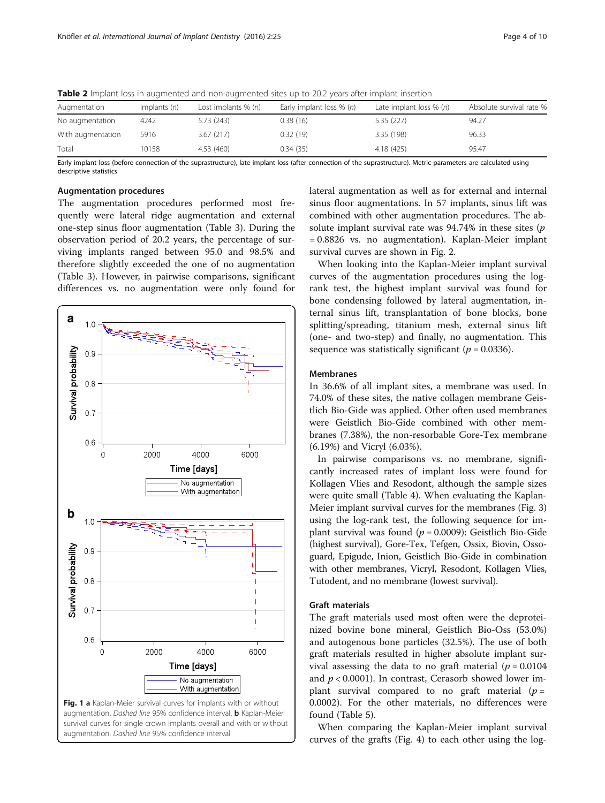| Augmentation      | Implants $(n)$ | Lost implants $\%$ (n) | Early implant loss $\%$ (n) | Late implant loss $% (n)$ | Absolute survival rate % |
|-------------------|----------------|------------------------|-----------------------------|---------------------------|--------------------------|
| No augmentation   | 4242           | 5.73(243)              | 0.38(16)                    | 5.35(227)                 | 94.27                    |
| With augmentation | 5916           | 3.67(217)              | 0.32(19)                    | 3.35 (198)                | 96.33                    |
| Total             | 10158          | 4.53 (460)             | 0.34(35)                    | 4.18 (425)                | 95.47                    |

<span id="page-3-0"></span>Table 2 Implant loss in augmented and non-augmented sites up to 20.2 years after implant insertion

Early implant loss (before connection of the suprastructure), late implant loss (after connection of the suprastructure). Metric parameters are calculated using descriptive statistics

### Augmentation procedures

The augmentation procedures performed most frequently were lateral ridge augmentation and external one-step sinus floor augmentation (Table [3](#page-4-0)). During the observation period of 20.2 years, the percentage of surviving implants ranged between 95.0 and 98.5% and therefore slightly exceeded the one of no augmentation (Table [3\)](#page-4-0). However, in pairwise comparisons, significant differences vs. no augmentation were only found for



lateral augmentation as well as for external and internal sinus floor augmentations. In 57 implants, sinus lift was combined with other augmentation procedures. The absolute implant survival rate was  $94.74\%$  in these sites (p = 0.8826 vs. no augmentation). Kaplan-Meier implant survival curves are shown in Fig. [2.](#page-4-0)

When looking into the Kaplan-Meier implant survival curves of the augmentation procedures using the logrank test, the highest implant survival was found for bone condensing followed by lateral augmentation, internal sinus lift, transplantation of bone blocks, bone splitting/spreading, titanium mesh, external sinus lift (one- and two-step) and finally, no augmentation. This sequence was statistically significant ( $p = 0.0336$ ).

## Membranes

In 36.6% of all implant sites, a membrane was used. In 74.0% of these sites, the native collagen membrane Geistlich Bio-Gide was applied. Other often used membranes were Geistlich Bio-Gide combined with other membranes (7.38%), the non-resorbable Gore-Tex membrane (6.19%) and Vicryl (6.03%).

In pairwise comparisons vs. no membrane, significantly increased rates of implant loss were found for Kollagen Vlies and Resodont, although the sample sizes were quite small (Table [4](#page-5-0)). When evaluating the Kaplan-Meier implant survival curves for the membranes (Fig. [3](#page-5-0)) using the log-rank test, the following sequence for implant survival was found ( $p = 0.0009$ ): Geistlich Bio-Gide (highest survival), Gore-Tex, Tefgen, Ossix, Biovin, Ossoguard, Epigude, Inion, Geistlich Bio-Gide in combination with other membranes, Vicryl, Resodont, Kollagen Vlies, Tutodent, and no membrane (lowest survival).

## Graft materials

The graft materials used most often were the deproteinized bovine bone mineral, Geistlich Bio-Oss (53.0%) and autogenous bone particles (32.5%). The use of both graft materials resulted in higher absolute implant survival assessing the data to no graft material ( $p = 0.0104$ ) and  $p < 0.0001$ ). In contrast, Cerasorb showed lower implant survival compared to no graft material  $(p =$ 0.0002). For the other materials, no differences were found (Table [5\)](#page-6-0).

When comparing the Kaplan-Meier implant survival curves of the grafts (Fig. [4\)](#page-6-0) to each other using the log-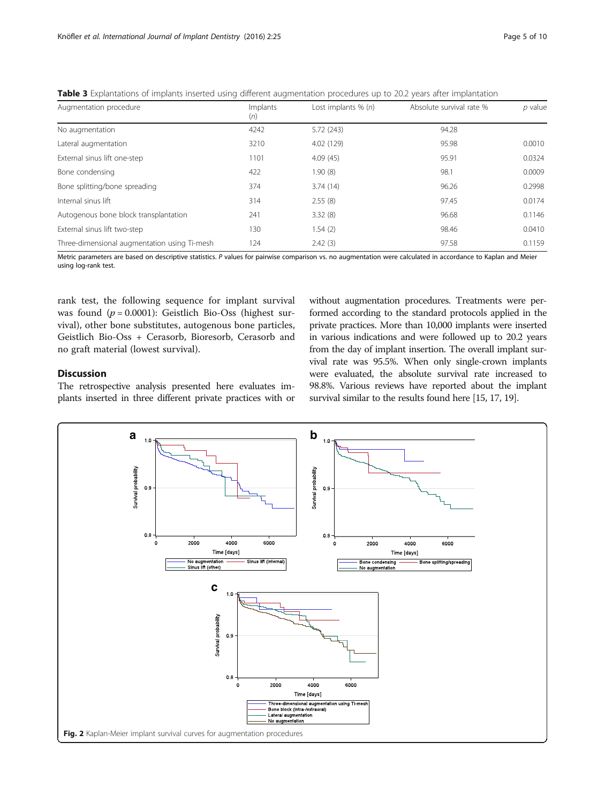| Augmentation procedure                       | Implants<br>(n) | Lost implants $% (n)$ | Absolute survival rate % | $p$ value |
|----------------------------------------------|-----------------|-----------------------|--------------------------|-----------|
| No augmentation                              | 4242            | 5.72(243)             | 94.28                    |           |
| Lateral augmentation                         | 3210            | 4.02 (129)            | 95.98                    | 0.0010    |
| External sinus lift one-step                 | 1101            | 4.09(45)              | 95.91                    | 0.0324    |
| Bone condensing                              | 422             | 1.90(8)               | 98.1                     | 0.0009    |
| Bone splitting/bone spreading                | 374             | 3.74(14)              | 96.26                    | 0.2998    |
| Internal sinus lift                          | 314             | 2.55(8)               | 97.45                    | 0.0174    |
| Autogenous bone block transplantation        | 241             | 3.32(8)               | 96.68                    | 0.1146    |
| External sinus lift two-step                 | 130             | 1.54(2)               | 98.46                    | 0.0410    |
| Three-dimensional augmentation using Ti-mesh | 124             | 2.42(3)               | 97.58                    | 0.1159    |

<span id="page-4-0"></span>Table 3 Explantations of implants inserted using different augmentation procedures up to 20.2 years after implantation

Metric parameters are based on descriptive statistics. P values for pairwise comparison vs. no augmentation were calculated in accordance to Kaplan and Meier using log-rank test.

rank test, the following sequence for implant survival was found  $(p = 0.0001)$ : Geistlich Bio-Oss (highest survival), other bone substitutes, autogenous bone particles, Geistlich Bio-Oss + Cerasorb, Bioresorb, Cerasorb and no graft material (lowest survival).

## Discussion

The retrospective analysis presented here evaluates implants inserted in three different private practices with or without augmentation procedures. Treatments were performed according to the standard protocols applied in the private practices. More than 10,000 implants were inserted in various indications and were followed up to 20.2 years from the day of implant insertion. The overall implant survival rate was 95.5%. When only single-crown implants were evaluated, the absolute survival rate increased to 98.8%. Various reviews have reported about the implant survival similar to the results found here [\[15, 17, 19\]](#page-8-0).

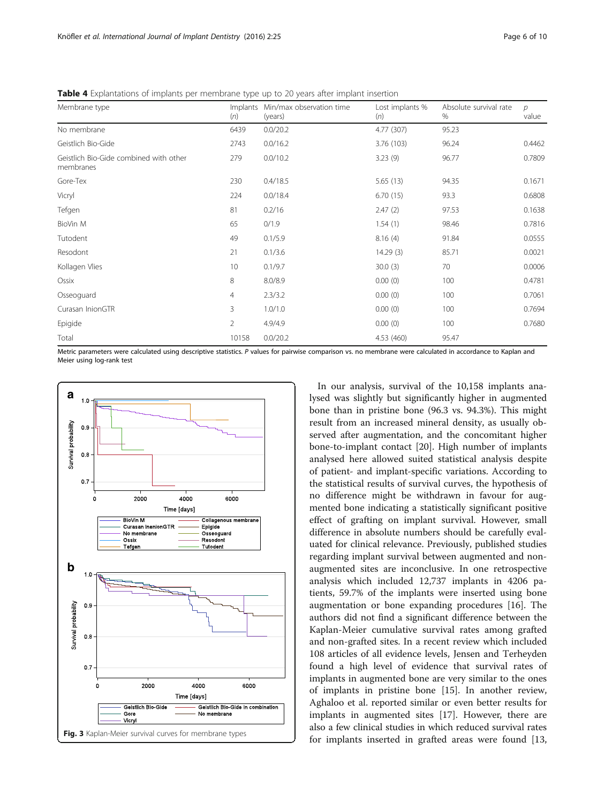| Membrane type                                       | Implants<br>(n) | Min/max observation time<br>(years) | Lost implants %<br>(n) | Absolute survival rate<br>$\%$ | $\mathcal{D}$<br>value |
|-----------------------------------------------------|-----------------|-------------------------------------|------------------------|--------------------------------|------------------------|
| No membrane                                         | 6439            | 0.0/20.2                            | 4.77 (307)             | 95.23                          |                        |
| Geistlich Bio-Gide                                  | 2743            | 0.0/16.2                            | 3.76 (103)             | 96.24                          | 0.4462                 |
| Geistlich Bio-Gide combined with other<br>membranes | 279             | 0.0/10.2                            | 3.23(9)                | 96.77                          | 0.7809                 |
| Gore-Tex                                            | 230             | 0.4/18.5                            | 5.65(13)               | 94.35                          | 0.1671                 |
| Vicryl                                              | 224             | 0.0/18.4                            | 6.70(15)               | 93.3                           | 0.6808                 |
| Tefgen                                              | 81              | 0.2/16                              | 2.47(2)                | 97.53                          | 0.1638                 |
| BioVin M                                            | 65              | 0/1.9                               | 1.54(1)                | 98.46                          | 0.7816                 |
| Tutodent                                            | 49              | 0.1/5.9                             | 8.16(4)                | 91.84                          | 0.0555                 |
| Resodont                                            | 21              | 0.1/3.6                             | 14.29(3)               | 85.71                          | 0.0021                 |
| Kollagen Vlies                                      | 10              | 0.1/9.7                             | 30.0(3)                | 70                             | 0.0006                 |
| Ossix                                               | 8               | 8.0/8.9                             | 0.00(0)                | 100                            | 0.4781                 |
| Osseoguard                                          | $\overline{4}$  | 2.3/3.2                             | 0.00(0)                | 100                            | 0.7061                 |
| Curasan InionGTR                                    | 3               | 1.0/1.0                             | 0.00(0)                | 100                            | 0.7694                 |
| Epigide                                             | $\overline{2}$  | 4.9/4.9                             | 0.00(0)                | 100                            | 0.7680                 |
| Total                                               | 10158           | 0.0/20.2                            | 4.53 (460)             | 95.47                          |                        |

<span id="page-5-0"></span>Table 4 Explantations of implants per membrane type up to 20 years after implant insertion

Metric parameters were calculated using descriptive statistics. P values for pairwise comparison vs. no membrane were calculated in accordance to Kaplan and Meier using log-rank test



In our analysis, survival of the 10,158 implants analysed was slightly but significantly higher in augmented bone than in pristine bone (96.3 vs. 94.3%). This might result from an increased mineral density, as usually observed after augmentation, and the concomitant higher bone-to-implant contact [[20](#page-8-0)]. High number of implants analysed here allowed suited statistical analysis despite of patient- and implant-specific variations. According to the statistical results of survival curves, the hypothesis of no difference might be withdrawn in favour for augmented bone indicating a statistically significant positive effect of grafting on implant survival. However, small difference in absolute numbers should be carefully evaluated for clinical relevance. Previously, published studies regarding implant survival between augmented and nonaugmented sites are inconclusive. In one retrospective analysis which included 12,737 implants in 4206 patients, 59.7% of the implants were inserted using bone augmentation or bone expanding procedures [[16\]](#page-8-0). The authors did not find a significant difference between the Kaplan-Meier cumulative survival rates among grafted and non-grafted sites. In a recent review which included 108 articles of all evidence levels, Jensen and Terheyden found a high level of evidence that survival rates of implants in augmented bone are very similar to the ones of implants in pristine bone [[15\]](#page-8-0). In another review, Aghaloo et al. reported similar or even better results for implants in augmented sites [[17\]](#page-8-0). However, there are also a few clinical studies in which reduced survival rates for implants inserted in grafted areas were found [[13](#page-8-0),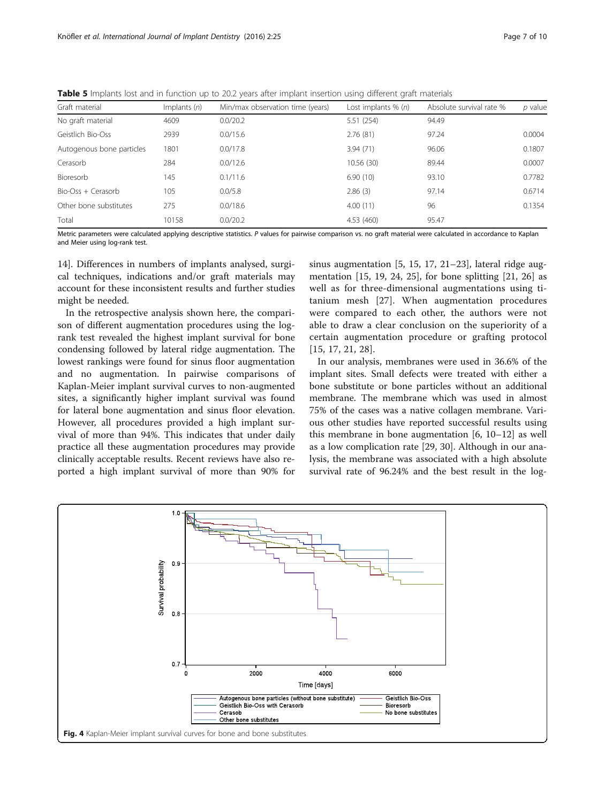| Graft material            | Implants $(n)$ | Min/max observation time (years) | Lost implants $% (n)$ | Absolute survival rate % | p value |
|---------------------------|----------------|----------------------------------|-----------------------|--------------------------|---------|
| No graft material         | 4609           | 0.0/20.2                         | 5.51 (254)            | 94.49                    |         |
| Geistlich Bio-Oss         | 2939           | 0.0/15.6                         | 2.76(81)              | 97.24                    | 0.0004  |
| Autogenous bone particles | 1801           | 0.0/17.8                         | 3.94(71)              | 96.06                    | 0.1807  |
| Cerasorb                  | 284            | 0.0/12.6                         | 10.56(30)             | 89.44                    | 0.0007  |
| Bioresorb                 | 145            | 0.1/11.6                         | 6.90(10)              | 93.10                    | 0.7782  |
| Bio-Oss + Cerasorb        | 105            | 0.0/5.8                          | 2.86(3)               | 97.14                    | 0.6714  |
| Other bone substitutes    | 275            | 0.0/18.6                         | 4.00(11)              | 96                       | 0.1354  |
| Total                     | 10158          | 0.0/20.2                         | 4.53 (460)            | 95.47                    |         |

<span id="page-6-0"></span>**Table 5** Implants lost and in function up to 20.2 years after implant insertion using different graft materials

Metric parameters were calculated applying descriptive statistics. P values for pairwise comparison vs. no graft material were calculated in accordance to Kaplan and Meier using log-rank test.

[14\]](#page-8-0). Differences in numbers of implants analysed, surgical techniques, indications and/or graft materials may account for these inconsistent results and further studies might be needed.

In the retrospective analysis shown here, the comparison of different augmentation procedures using the logrank test revealed the highest implant survival for bone condensing followed by lateral ridge augmentation. The lowest rankings were found for sinus floor augmentation and no augmentation. In pairwise comparisons of Kaplan-Meier implant survival curves to non-augmented sites, a significantly higher implant survival was found for lateral bone augmentation and sinus floor elevation. However, all procedures provided a high implant survival of more than 94%. This indicates that under daily practice all these augmentation procedures may provide clinically acceptable results. Recent reviews have also reported a high implant survival of more than 90% for

sinus augmentation [[5, 15](#page-8-0), [17, 21](#page-8-0)–[23](#page-8-0)], lateral ridge augmentation [\[15](#page-8-0), [19, 24](#page-8-0), [25](#page-8-0)], for bone splitting [\[21, 26](#page-8-0)] as well as for three-dimensional augmentations using titanium mesh [\[27](#page-8-0)]. When augmentation procedures were compared to each other, the authors were not able to draw a clear conclusion on the superiority of a certain augmentation procedure or grafting protocol [[15](#page-8-0), [17](#page-8-0), [21, 28\]](#page-8-0).

In our analysis, membranes were used in 36.6% of the implant sites. Small defects were treated with either a bone substitute or bone particles without an additional membrane. The membrane which was used in almost 75% of the cases was a native collagen membrane. Various other studies have reported successful results using this membrane in bone augmentation [[6, 10](#page-8-0)–[12\]](#page-8-0) as well as a low complication rate [[29](#page-8-0), [30](#page-8-0)]. Although in our analysis, the membrane was associated with a high absolute survival rate of 96.24% and the best result in the log-

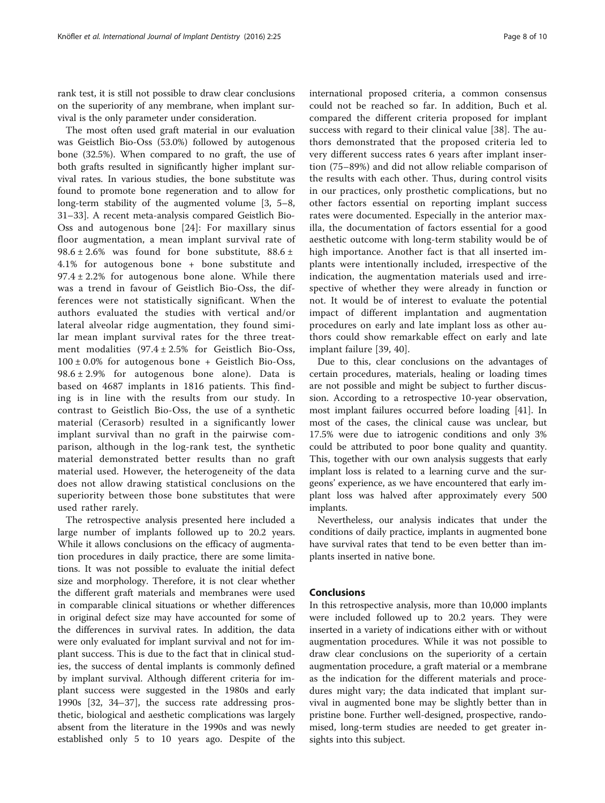rank test, it is still not possible to draw clear conclusions on the superiority of any membrane, when implant survival is the only parameter under consideration.

The most often used graft material in our evaluation was Geistlich Bio-Oss (53.0%) followed by autogenous bone (32.5%). When compared to no graft, the use of both grafts resulted in significantly higher implant survival rates. In various studies, the bone substitute was found to promote bone regeneration and to allow for long-term stability of the augmented volume [\[3](#page-8-0), [5](#page-8-0)–[8](#page-8-0), [31](#page-8-0)–[33](#page-8-0)]. A recent meta-analysis compared Geistlich Bio-Oss and autogenous bone [[24](#page-8-0)]: For maxillary sinus floor augmentation, a mean implant survival rate of 98.6  $\pm$  2.6% was found for bone substitute, 88.6  $\pm$ 4.1% for autogenous bone + bone substitute and  $97.4 \pm 2.2\%$  for autogenous bone alone. While there was a trend in favour of Geistlich Bio-Oss, the differences were not statistically significant. When the authors evaluated the studies with vertical and/or lateral alveolar ridge augmentation, they found similar mean implant survival rates for the three treatment modalities  $(97.4 \pm 2.5\%$  for Geistlich Bio-Oss,  $100 \pm 0.0\%$  for autogenous bone + Geistlich Bio-Oss,  $98.6 \pm 2.9\%$  for autogenous bone alone). Data is based on 4687 implants in 1816 patients. This finding is in line with the results from our study. In contrast to Geistlich Bio-Oss, the use of a synthetic material (Cerasorb) resulted in a significantly lower implant survival than no graft in the pairwise comparison, although in the log-rank test, the synthetic material demonstrated better results than no graft material used. However, the heterogeneity of the data does not allow drawing statistical conclusions on the superiority between those bone substitutes that were used rather rarely.

The retrospective analysis presented here included a large number of implants followed up to 20.2 years. While it allows conclusions on the efficacy of augmentation procedures in daily practice, there are some limitations. It was not possible to evaluate the initial defect size and morphology. Therefore, it is not clear whether the different graft materials and membranes were used in comparable clinical situations or whether differences in original defect size may have accounted for some of the differences in survival rates. In addition, the data were only evaluated for implant survival and not for implant success. This is due to the fact that in clinical studies, the success of dental implants is commonly defined by implant survival. Although different criteria for implant success were suggested in the 1980s and early 1990s [\[32, 34](#page-8-0)–[37\]](#page-9-0), the success rate addressing prosthetic, biological and aesthetic complications was largely absent from the literature in the 1990s and was newly established only 5 to 10 years ago. Despite of the international proposed criteria, a common consensus could not be reached so far. In addition, Buch et al. compared the different criteria proposed for implant success with regard to their clinical value [\[38](#page-9-0)]. The authors demonstrated that the proposed criteria led to very different success rates 6 years after implant insertion (75–89%) and did not allow reliable comparison of the results with each other. Thus, during control visits in our practices, only prosthetic complications, but no other factors essential on reporting implant success rates were documented. Especially in the anterior maxilla, the documentation of factors essential for a good aesthetic outcome with long-term stability would be of high importance. Another fact is that all inserted implants were intentionally included, irrespective of the indication, the augmentation materials used and irrespective of whether they were already in function or not. It would be of interest to evaluate the potential impact of different implantation and augmentation procedures on early and late implant loss as other authors could show remarkable effect on early and late implant failure [[39, 40](#page-9-0)].

Due to this, clear conclusions on the advantages of certain procedures, materials, healing or loading times are not possible and might be subject to further discussion. According to a retrospective 10-year observation, most implant failures occurred before loading [[41\]](#page-9-0). In most of the cases, the clinical cause was unclear, but 17.5% were due to iatrogenic conditions and only 3% could be attributed to poor bone quality and quantity. This, together with our own analysis suggests that early implant loss is related to a learning curve and the surgeons' experience, as we have encountered that early implant loss was halved after approximately every 500 implants.

Nevertheless, our analysis indicates that under the conditions of daily practice, implants in augmented bone have survival rates that tend to be even better than implants inserted in native bone.

## **Conclusions**

In this retrospective analysis, more than 10,000 implants were included followed up to 20.2 years. They were inserted in a variety of indications either with or without augmentation procedures. While it was not possible to draw clear conclusions on the superiority of a certain augmentation procedure, a graft material or a membrane as the indication for the different materials and procedures might vary; the data indicated that implant survival in augmented bone may be slightly better than in pristine bone. Further well-designed, prospective, randomised, long-term studies are needed to get greater insights into this subject.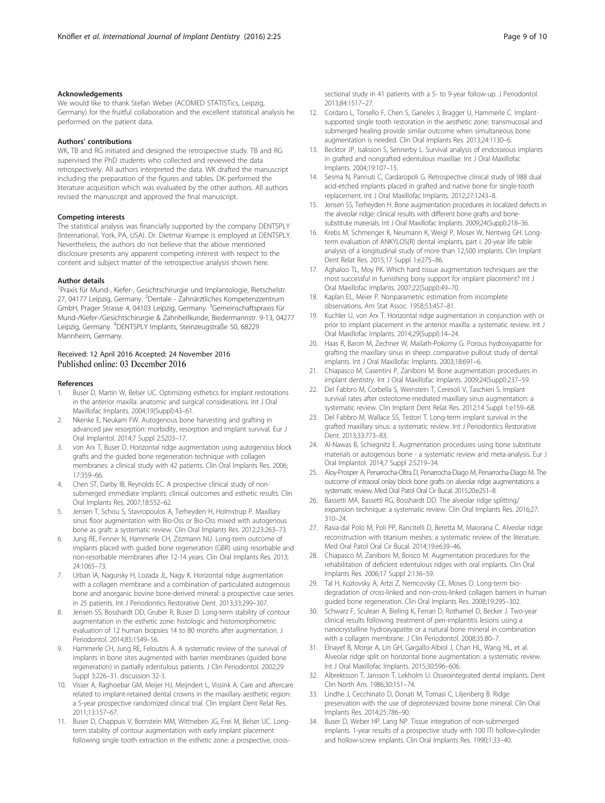## <span id="page-8-0"></span>Acknowledgements

We would like to thank Stefan Weber (ACOMED STATISTics, Leipzig, Germany) for the fruitful collaboration and the excellent statistical analysis he performed on the patient data.

## Authors' contributions

WK, TB and RG initiated and designed the retrospective study. TB and RG supervised the PhD students who collected and reviewed the data retrospectively. All authors interpreted the data. WK drafted the manuscript including the preparation of the figures and tables. DK performed the literature acquisition which was evaluated by the other authors. All authors revised the manuscript and approved the final manuscript.

#### Competing interests

The statistical analysis was financially supported by the company DENTSPLY (International, York, PA, USA). Dr. Dietmar Krampe is employed at DENTSPLY. Nevertheless, the authors do not believe that the above mentioned disclosure presents any apparent competing interest with respect to the content and subject matter of the retrospective analysis shown here.

## Author details

<sup>1</sup> Praxis für Mund-, Kiefer-, Gesichtschirurgie und Implantologie, Rietschelstr. 27, 04177 Leipzig, Germany. <sup>2</sup>Dentale - Zahnärztliches Kompetenzzentrum GmbH, Prager Strasse 4, 04103 Leipzig, Germany. <sup>3</sup>Gemeinschaftspraxis für Mund-/Kiefer-/Gesichtschirurgie & Zahnheilkunde, Biedermannstr. 9-13, 04277 Leipzig, Germany. <sup>4</sup> DENTSPLY Implants, Steinzeugstraße 50, 68229 Mannheim, Germany.

# Received: 12 April 2016 Accepted: 24 November 2016<br>Published online: 03 December 2016

#### References

- 1. Buser D, Martin W, Belser UC. Optimizing esthetics for implant restorations in the anterior maxilla: anatomic and surgical considerations. Int J Oral Maxillofac Implants. 2004;19(Suppl):43–61.
- 2. Nkenke E, Neukam FW. Autogenous bone harvesting and grafting in advanced jaw resorption: morbidity, resorption and implant survival. Eur J Oral Implantol. 2014;7 Suppl 2:S203–17.
- 3. von Arx T, Buser D. Horizontal ridge augmentation using autogenous block grafts and the guided bone regeneration technique with collagen membranes: a clinical study with 42 patients. Clin Oral Implants Res. 2006; 17:359–66.
- 4. Chen ST, Darby IB, Reynolds EC. A prospective clinical study of nonsubmerged immediate implants: clinical outcomes and esthetic results. Clin Oral Implants Res. 2007;18:552–62.
- Jensen T, Schou S, Stavropoulos A, Terheyden H, Holmstrup P. Maxillary sinus floor augmentation with Bio-Oss or Bio-Oss mixed with autogenous bone as graft: a systematic review. Clin Oral Implants Res. 2012;23:263–73.
- 6. Jung RE, Fenner N, Hammerle CH, Zitzmann NU. Long-term outcome of implants placed with guided bone regeneration (GBR) using resorbable and non-resorbable membranes after 12-14 years. Clin Oral Implants Res. 2013; 24:1065–73.
- 7. Urban IA, Nagursky H, Lozada JL, Nagy K. Horizontal ridge augmentation with a collagen membrane and a combination of particulated autogenous bone and anorganic bovine bone-derived mineral: a prospective case series in 25 patients. Int J Periodontics Restorative Dent. 2013;33:299–307.
- 8. Jensen SS, Bosshardt DD, Gruber R, Buser D. Long-term stability of contour augmentation in the esthetic zone: histologic and histomorphometric evaluation of 12 human biopsies 14 to 80 months after augmentation. J Periodontol. 2014;85:1549–56.
- Hammerle CH, Jung RE, Feloutzis A. A systematic review of the survival of implants in bone sites augmented with barrier membranes (guided bone regeneration) in partially edentulous patients. J Clin Periodontol. 2002;29 Suppl 3:226–31. discussion 32-3.
- 10. Visser A, Raghoebar GM, Meijer HJ, Meijndert L, Vissink A. Care and aftercare related to implant-retained dental crowns in the maxillary aesthetic region: a 5-year prospective randomized clinical trial. Clin Implant Dent Relat Res. 2011;13:157–67.
- 11. Buser D, Chappuis V, Bornstein MM, Wittneben JG, Frei M, Belser UC. Longterm stability of contour augmentation with early implant placement following single tooth extraction in the esthetic zone: a prospective, cross-

sectional study in 41 patients with a 5- to 9-year follow-up. J Periodontol. 2013;84:1517–27.

- 12. Cordaro L, Torsello F, Chen S, Ganeles J, Bragger U, Hammerle C. Implantsupported single tooth restoration in the aesthetic zone: transmucosal and submerged healing provide similar outcome when simultaneous bone augmentation is needed. Clin Oral Implants Res. 2013;24:1130–6.
- 13. Becktor JP, Isaksson S, Sennerby L. Survival analysis of endosseous implants in grafted and nongrafted edentulous maxillae. Int J Oral Maxillofac Implants. 2004;19:107–15.
- 14. Sesma N, Pannuti C, Cardaropoli G. Retrospective clinical study of 988 dual acid-etched implants placed in grafted and native bone for single-tooth replacement. Int J Oral Maxillofac Implants. 2012;27:1243–8.
- 15. Jensen SS, Terheyden H. Bone augmentation procedures in localized defects in the alveolar ridge: clinical results with different bone grafts and bonesubstitute materials. Int J Oral Maxillofac Implants. 2009;24(Suppl):218–36.
- 16. Krebs M, Schmenger K, Neumann K, Weigl P, Moser W, Nentwig GH. Longterm evaluation of ANKYLOS(R) dental implants, part i: 20-year life table analysis of a longitudinal study of more than 12,500 implants. Clin Implant Dent Relat Res. 2015;17 Suppl 1:e275–86.
- 17. Aghaloo TL, Moy PK. Which hard tissue augmentation techniques are the most successful in furnishing bony support for implant placement? Int J Oral Maxillofac Implants. 2007;22(Suppl):49–70.
- 18. Kaplan EL, Meier P. Nonparametric estimation from incomplete observations. Am Stat Assoc. 1958;53:457–81.
- 19. Kuchler U, von Arx T. Horizontal ridge augmentation in conjunction with or prior to implant placement in the anterior maxilla: a systematic review. Int J Oral Maxillofac Implants. 2014;29(Suppl):14–24.
- 20. Haas R, Baron M, Zechner W, Mailath-Pokorny G. Porous hydroxyapatite for grafting the maxillary sinus in sheep: comparative pullout study of dental implants. Int J Oral Maxillofac Implants. 2003;18:691–6.
- 21. Chiapasco M, Casentini P, Zaniboni M. Bone augmentation procedures in implant dentistry. Int J Oral Maxillofac Implants. 2009;24(Suppl):237–59.
- 22. Del Fabbro M, Corbella S, Weinstein T, Ceresoli V, Taschieri S. Implant survival rates after osteotome-mediated maxillary sinus augmentation: a systematic review. Clin Implant Dent Relat Res. 2012;14 Suppl 1:e159–68.
- 23. Del Fabbro M, Wallace SS, Testori T. Long-term implant survival in the grafted maxillary sinus: a systematic review. Int J Periodontics Restorative Dent. 2013;33:773–83.
- 24. Al-Nawas B, Schiegnitz E. Augmentation procedures using bone substitute materials or autogenous bone - a systematic review and meta-analysis. Eur J Oral Implantol. 2014;7 Suppl 2:S219–34.
- 25. Aloy-Prosper A, Penarrocha-Oltra D, Penarrocha-Diago M, Penarrocha-Diago M. The outcome of intraoral onlay block bone grafts on alveolar ridge augmentations: a systematic review. Med Oral Patol Oral Cir Bucal. 2015;20:e251–8.
- 26. Bassetti MA, Bassetti RG, Bosshardt DD. The alveolar ridge splitting/ expansion technique: a systematic review. Clin Oral Implants Res. 2016;27: 310–24.
- 27. Rasia-dal Polo M, Poli PP, Rancitelli D, Beretta M, Maiorana C. Alveolar ridge reconstruction with titanium meshes: a systematic review of the literature. Med Oral Patol Oral Cir Bucal. 2014;19:e639–46.
- 28. Chiapasco M, Zaniboni M, Boisco M. Augmentation procedures for the rehabilitation of deficient edentulous ridges with oral implants. Clin Oral Implants Res. 2006;17 Suppl 2:136–59.
- 29. Tal H, Kozlovsky A, Artzi Z, Nemcovsky CE, Moses O. Long-term biodegradation of cross-linked and non-cross-linked collagen barriers in human guided bone regeneration. Clin Oral Implants Res. 2008;19:295–302.
- 30. Schwarz F, Sculean A, Bieling K, Ferrari D, Rothamel D, Becker J. Two-year clinical results following treatment of peri-implantitis lesions using a nanocrystalline hydroxyapatite or a natural bone mineral in combination with a collagen membrane. J Clin Periodontol. 2008;35:80–7.
- 31. Elnayef B, Monje A, Lin GH, Gargallo-Albiol J, Chan HL, Wang HL, et al. Alveolar ridge split on horizontal bone augmentation: a systematic review. Int J Oral Maxillofac Implants. 2015;30:596–606.
- 32. Albrektsson T, Jansson T, Lekholm U. Osseointegrated dental implants. Dent Clin North Am. 1986;30:151–74.
- 33. Lindhe J, Cecchinato D, Donati M, Tomasi C, Liljenberg B. Ridge preservation with the use of deproteinized bovine bone mineral. Clin Oral Implants Res. 2014;25:786–90.
- 34. Buser D, Weber HP, Lang NP. Tissue integration of non-submerged implants. 1-year results of a prospective study with 100 ITI hollow-cylinder and hollow-screw implants. Clin Oral Implants Res. 1990;1:33–40.